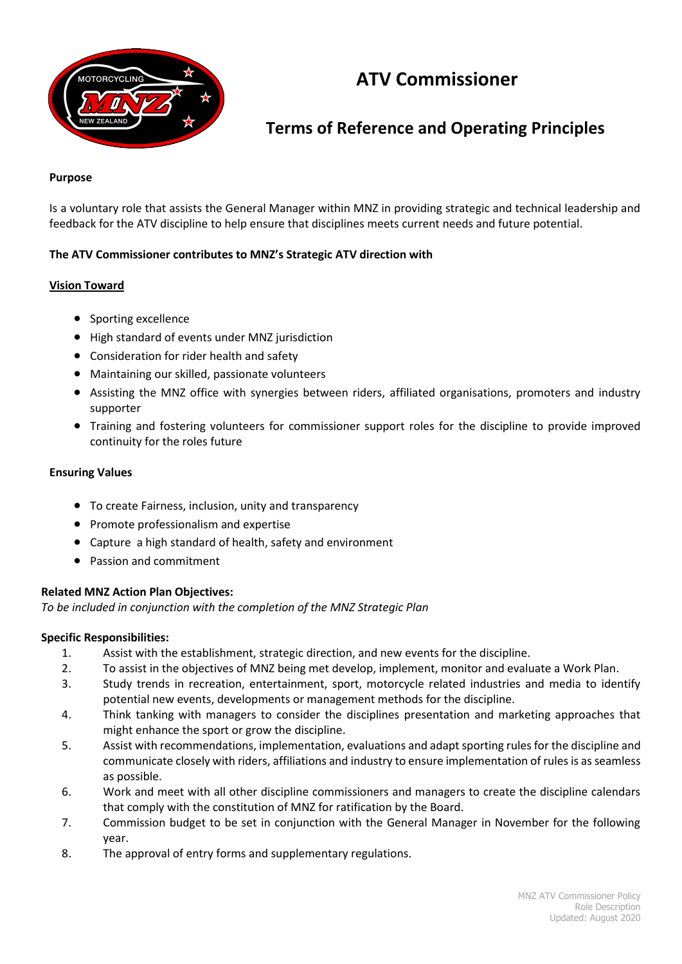

# **ATV Commissioner**

## **Terms of Reference and Operating Principles**

#### **Purpose**

Is a voluntary role that assists the General Manager within MNZ in providing strategic and technical leadership and feedback for the ATV discipline to help ensure that disciplines meets current needs and future potential.

## **The ATV Commissioner contributes to MNZ's Strategic ATV direction with**

### **Vision Toward**

- Sporting excellence
- High standard of events under MNZ jurisdiction
- Consideration for rider health and safety
- Maintaining our skilled, passionate volunteers
- Assisting the MNZ office with synergies between riders, affiliated organisations, promoters and industry supporter
- Training and fostering volunteers for commissioner support roles for the discipline to provide improved continuity for the roles future

#### **Ensuring Values**

- To create Fairness, inclusion, unity and transparency
- Promote professionalism and expertise
- Capture a high standard of health, safety and environment
- Passion and commitment

### **Related MNZ Action Plan Objectives:**

*To be included in conjunction with the completion of the MNZ Strategic Plan*

### **Specific Responsibilities:**

- 1. Assist with the establishment, strategic direction, and new events for the discipline.
- 2. To assist in the objectives of MNZ being met develop, implement, monitor and evaluate a Work Plan.
- 3. Study trends in recreation, entertainment, sport, motorcycle related industries and media to identify potential new events, developments or management methods for the discipline.
- 4. Think tanking with managers to consider the disciplines presentation and marketing approaches that might enhance the sport or grow the discipline.
- 5. Assist with recommendations, implementation, evaluations and adapt sporting rules for the discipline and communicate closely with riders, affiliations and industry to ensure implementation of rules is as seamless as possible.
- 6. Work and meet with all other discipline commissioners and managers to create the discipline calendars that comply with the constitution of MNZ for ratification by the Board.
- 7. Commission budget to be set in conjunction with the General Manager in November for the following year.
- 8. The approval of entry forms and supplementary regulations.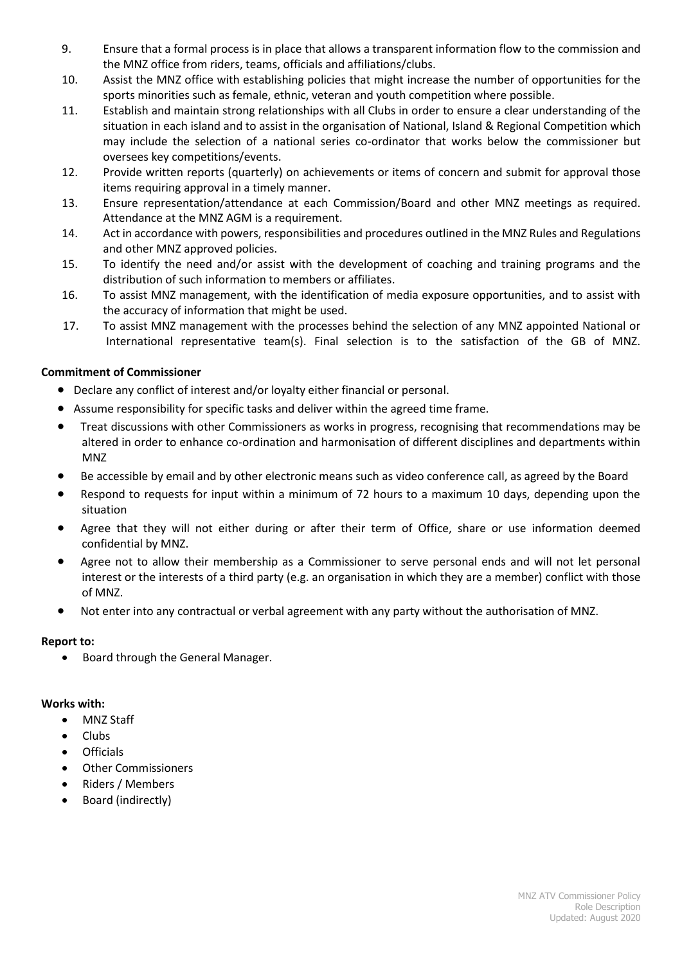- 9. Ensure that a formal process is in place that allows a transparent information flow to the commission and the MNZ office from riders, teams, officials and affiliations/clubs.
- 10. Assist the MNZ office with establishing policies that might increase the number of opportunities for the sports minorities such as female, ethnic, veteran and youth competition where possible.
- 11. Establish and maintain strong relationships with all Clubs in order to ensure a clear understanding of the situation in each island and to assist in the organisation of National, Island & Regional Competition which may include the selection of a national series co-ordinator that works below the commissioner but oversees key competitions/events.
- 12. Provide written reports (quarterly) on achievements or items of concern and submit for approval those items requiring approval in a timely manner.
- 13. Ensure representation/attendance at each Commission/Board and other MNZ meetings as required. Attendance at the MNZ AGM is a requirement.
- 14. Act in accordance with powers, responsibilities and procedures outlined in the MNZ Rules and Regulations and other MNZ approved policies.
- 15. To identify the need and/or assist with the development of coaching and training programs and the distribution of such information to members or affiliates.
- 16. To assist MNZ management, with the identification of media exposure opportunities, and to assist with the accuracy of information that might be used.
- 17. To assist MNZ management with the processes behind the selection of any MNZ appointed National or International representative team(s). Final selection is to the satisfaction of the GB of MNZ.

## **Commitment of Commissioner**

- Declare any conflict of interest and/or loyalty either financial or personal.
- Assume responsibility for specific tasks and deliver within the agreed time frame.
- Treat discussions with other Commissioners as works in progress, recognising that recommendations may be altered in order to enhance co-ordination and harmonisation of different disciplines and departments within MNZ
- Be accessible by email and by other electronic means such as video conference call, as agreed by the Board
- Respond to requests for input within a minimum of 72 hours to a maximum 10 days, depending upon the situation
- Agree that they will not either during or after their term of Office, share or use information deemed confidential by MNZ.
- Agree not to allow their membership as a Commissioner to serve personal ends and will not let personal interest or the interests of a third party (e.g. an organisation in which they are a member) conflict with those of MNZ.
- Not enter into any contractual or verbal agreement with any party without the authorisation of MNZ.

## **Report to:**

• Board through the General Manager.

### **Works with:**

- MNZ Staff
- Clubs
- Officials
- Other Commissioners
- Riders / Members
- Board (indirectly)